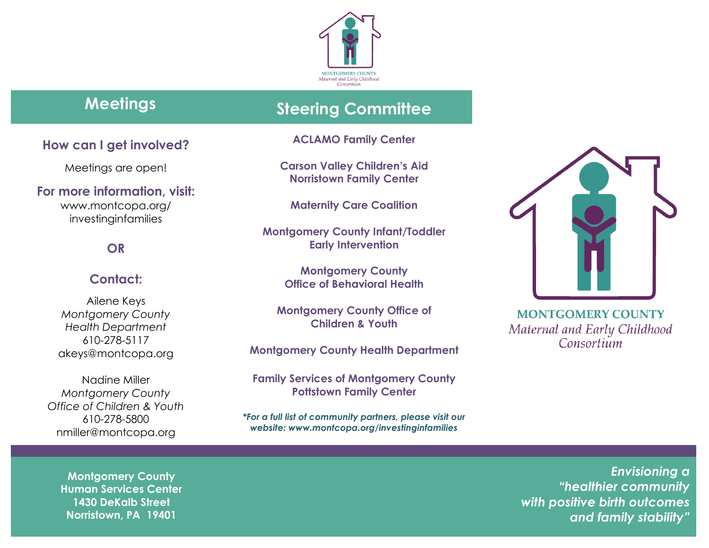

# **Meetings Steering Committee**

**ACLAMO Family Center**

**Carson Valley Children's Aid Norristown Family Center**

**Maternity Care Coalition**

**Montgomery County Infant/Toddler Early Intervention**

> **Montgomery County Office of Behavioral Health**

**Montgomery County Office of Children & Youth**

**Montgomery County Health Department**

**Family Services of Montgomery County Pottstown Family Center**

*\*For a full list of community partners, please visit our website: www.montcopa.org/investinginfamilies*



**MONTGOMERY COUNTY** Maternal and Early Childhood Consortium

*Envisioning a "healthier community with positive birth outcomes and family stability"*

# **How can I get involved?**

Meetings are open!

**For more information, visit:** [www.montcopa.org/](http://www.montcopa.org/investinginfamilies) [investinginfamilies](http://www.montcopa.org/investinginfamilies)

#### **OR**

#### **Contact:**

Ailene Keys *Montgomery County Health Department* 610-278-5117 [akeys@montcopa.org](mailto:akeys@montcopa.org)

Nadine Miller *Montgomery County Office of Children & Youth* 610-278-5800 nmiller@montcopa.org

**Montgomery County Human Services Center 1430 DeKalb Street Norristown, PA 19401**